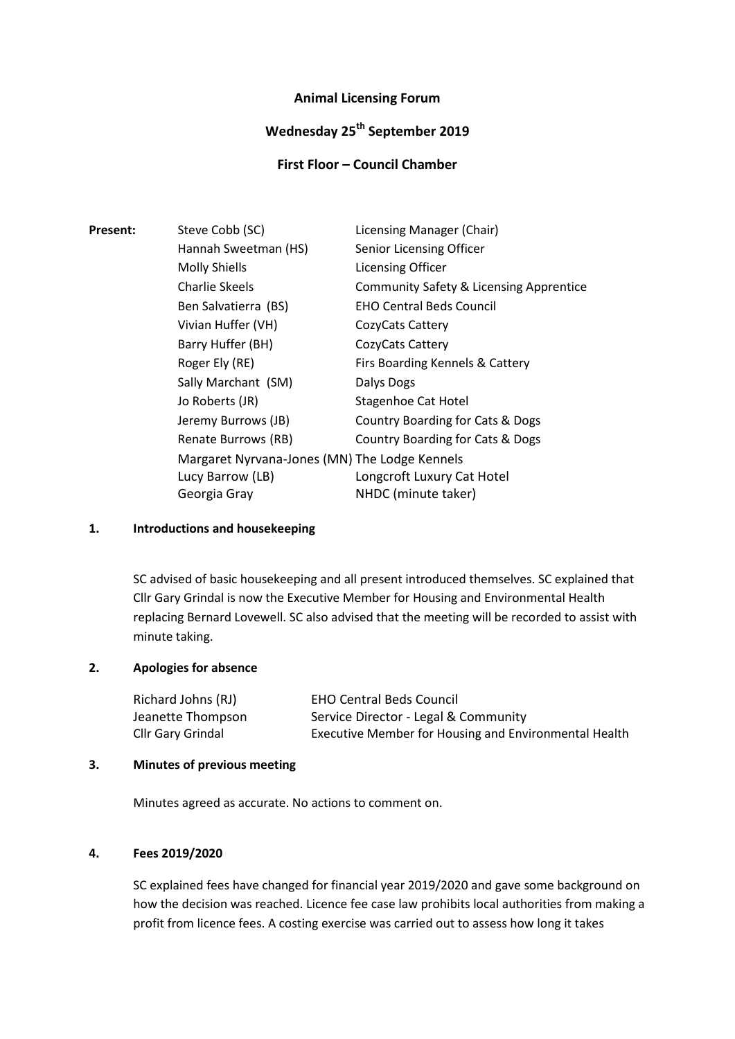# **Animal Licensing Forum**

# **Wednesday 25th September 2019**

# **First Floor – Council Chamber**

| <b>Present:</b> | Steve Cobb (SC)                               | Licensing Manager (Chair)               |
|-----------------|-----------------------------------------------|-----------------------------------------|
|                 | Hannah Sweetman (HS)                          | Senior Licensing Officer                |
|                 | <b>Molly Shiells</b>                          | <b>Licensing Officer</b>                |
|                 | Charlie Skeels                                | Community Safety & Licensing Apprentice |
|                 | Ben Salvatierra (BS)                          | <b>EHO Central Beds Council</b>         |
|                 | Vivian Huffer (VH)                            | CozyCats Cattery                        |
|                 | Barry Huffer (BH)                             | CozyCats Cattery                        |
|                 | Roger Ely (RE)                                | Firs Boarding Kennels & Cattery         |
|                 | Sally Marchant (SM)                           | Dalys Dogs                              |
|                 | Jo Roberts (JR)                               | Stagenhoe Cat Hotel                     |
|                 | Jeremy Burrows (JB)                           | Country Boarding for Cats & Dogs        |
|                 | Renate Burrows (RB)                           | Country Boarding for Cats & Dogs        |
|                 | Margaret Nyrvana-Jones (MN) The Lodge Kennels |                                         |
|                 | Lucy Barrow (LB)                              | Longcroft Luxury Cat Hotel              |
|                 | Georgia Gray                                  | NHDC (minute taker)                     |

### **1. Introductions and housekeeping**

SC advised of basic housekeeping and all present introduced themselves. SC explained that Cllr Gary Grindal is now the Executive Member for Housing and Environmental Health replacing Bernard Lovewell. SC also advised that the meeting will be recorded to assist with minute taking.

## **2. Apologies for absence**

| Richard Johns (RJ) | <b>EHO Central Beds Council</b>                       |
|--------------------|-------------------------------------------------------|
| Jeanette Thompson  | Service Director - Legal & Community                  |
| Cllr Gary Grindal  | Executive Member for Housing and Environmental Health |

#### **3. Minutes of previous meeting**

Minutes agreed as accurate. No actions to comment on.

### **4. Fees 2019/2020**

SC explained fees have changed for financial year 2019/2020 and gave some background on how the decision was reached. Licence fee case law prohibits local authorities from making a profit from licence fees. A costing exercise was carried out to assess how long it takes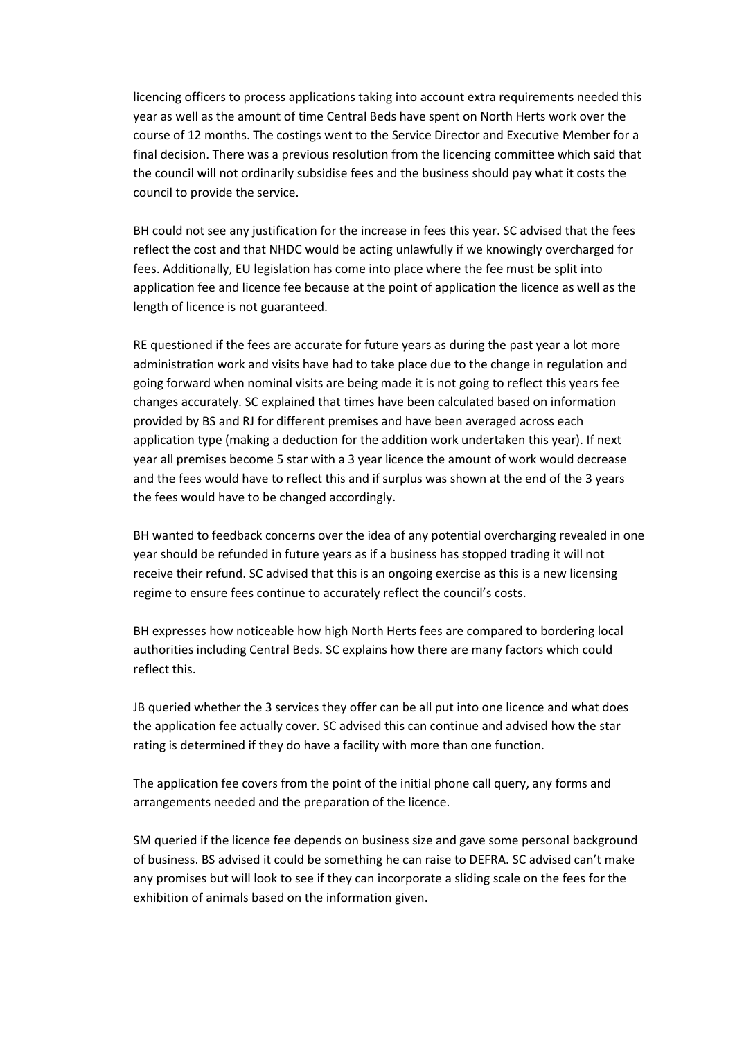licencing officers to process applications taking into account extra requirements needed this year as well as the amount of time Central Beds have spent on North Herts work over the course of 12 months. The costings went to the Service Director and Executive Member for a final decision. There was a previous resolution from the licencing committee which said that the council will not ordinarily subsidise fees and the business should pay what it costs the council to provide the service.

BH could not see any justification for the increase in fees this year. SC advised that the fees reflect the cost and that NHDC would be acting unlawfully if we knowingly overcharged for fees. Additionally, EU legislation has come into place where the fee must be split into application fee and licence fee because at the point of application the licence as well as the length of licence is not guaranteed.

RE questioned if the fees are accurate for future years as during the past year a lot more administration work and visits have had to take place due to the change in regulation and going forward when nominal visits are being made it is not going to reflect this years fee changes accurately. SC explained that times have been calculated based on information provided by BS and RJ for different premises and have been averaged across each application type (making a deduction for the addition work undertaken this year). If next year all premises become 5 star with a 3 year licence the amount of work would decrease and the fees would have to reflect this and if surplus was shown at the end of the 3 years the fees would have to be changed accordingly.

BH wanted to feedback concerns over the idea of any potential overcharging revealed in one year should be refunded in future years as if a business has stopped trading it will not receive their refund. SC advised that this is an ongoing exercise as this is a new licensing regime to ensure fees continue to accurately reflect the council's costs.

BH expresses how noticeable how high North Herts fees are compared to bordering local authorities including Central Beds. SC explains how there are many factors which could reflect this.

JB queried whether the 3 services they offer can be all put into one licence and what does the application fee actually cover. SC advised this can continue and advised how the star rating is determined if they do have a facility with more than one function.

The application fee covers from the point of the initial phone call query, any forms and arrangements needed and the preparation of the licence.

SM queried if the licence fee depends on business size and gave some personal background of business. BS advised it could be something he can raise to DEFRA. SC advised can't make any promises but will look to see if they can incorporate a sliding scale on the fees for the exhibition of animals based on the information given.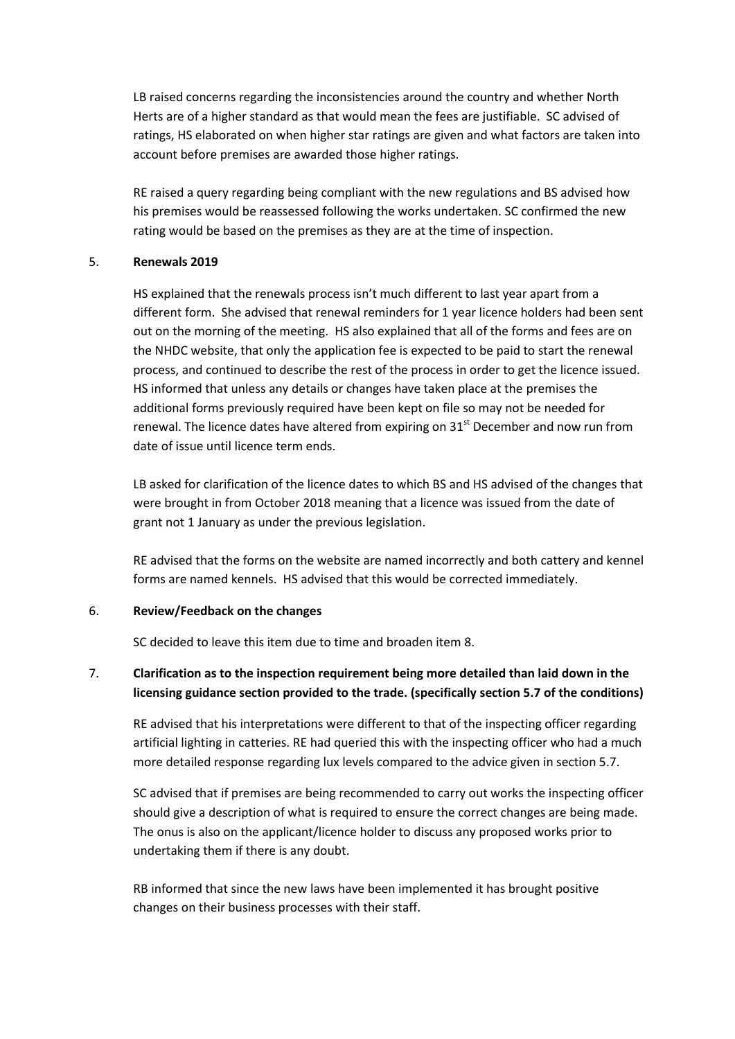LB raised concerns regarding the inconsistencies around the country and whether North Herts are of a higher standard as that would mean the fees are justifiable. SC advised of ratings, HS elaborated on when higher star ratings are given and what factors are taken into account before premises are awarded those higher ratings.

RE raised a query regarding being compliant with the new regulations and BS advised how his premises would be reassessed following the works undertaken. SC confirmed the new rating would be based on the premises as they are at the time of inspection.

#### 5. **Renewals 2019**

HS explained that the renewals process isn't much different to last year apart from a different form. She advised that renewal reminders for 1 year licence holders had been sent out on the morning of the meeting. HS also explained that all of the forms and fees are on the NHDC website, that only the application fee is expected to be paid to start the renewal process, and continued to describe the rest of the process in order to get the licence issued. HS informed that unless any details or changes have taken place at the premises the additional forms previously required have been kept on file so may not be needed for renewal. The licence dates have altered from expiring on  $31<sup>st</sup>$  December and now run from date of issue until licence term ends.

LB asked for clarification of the licence dates to which BS and HS advised of the changes that were brought in from October 2018 meaning that a licence was issued from the date of grant not 1 January as under the previous legislation.

RE advised that the forms on the website are named incorrectly and both cattery and kennel forms are named kennels. HS advised that this would be corrected immediately.

#### 6. **Review/Feedback on the changes**

SC decided to leave this item due to time and broaden item 8.

# 7. **Clarification as to the inspection requirement being more detailed than laid down in the licensing guidance section provided to the trade. (specifically section 5.7 of the conditions)**

RE advised that his interpretations were different to that of the inspecting officer regarding artificial lighting in catteries. RE had queried this with the inspecting officer who had a much more detailed response regarding lux levels compared to the advice given in section 5.7.

SC advised that if premises are being recommended to carry out works the inspecting officer should give a description of what is required to ensure the correct changes are being made. The onus is also on the applicant/licence holder to discuss any proposed works prior to undertaking them if there is any doubt.

RB informed that since the new laws have been implemented it has brought positive changes on their business processes with their staff.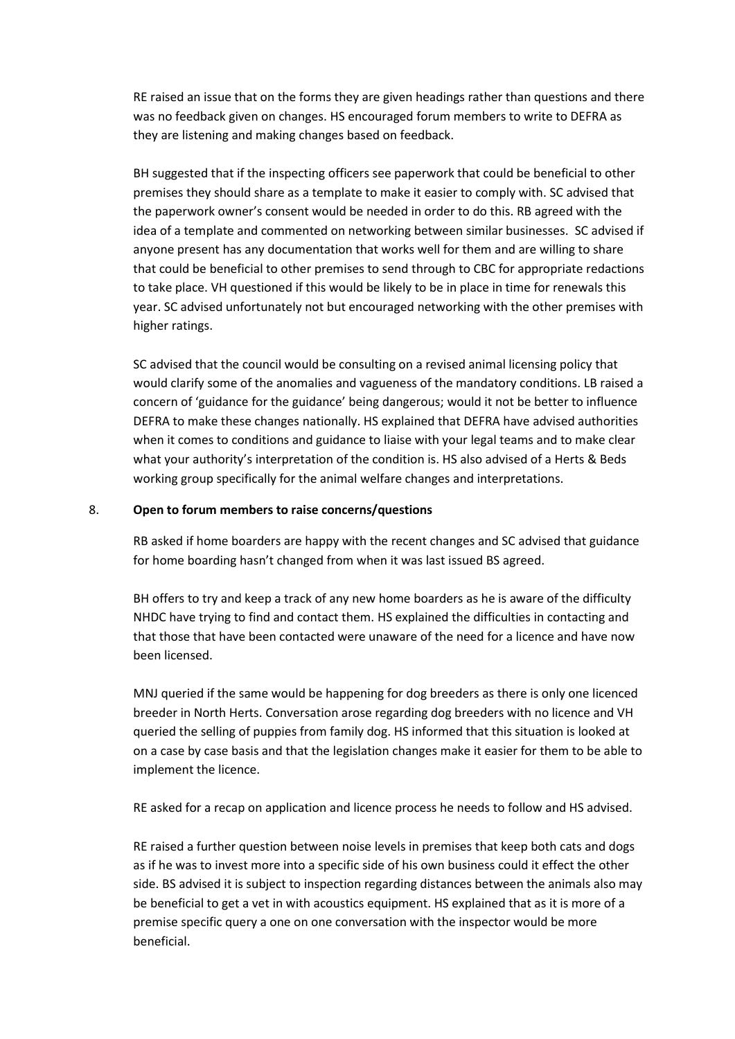RE raised an issue that on the forms they are given headings rather than questions and there was no feedback given on changes. HS encouraged forum members to write to DEFRA as they are listening and making changes based on feedback.

BH suggested that if the inspecting officers see paperwork that could be beneficial to other premises they should share as a template to make it easier to comply with. SC advised that the paperwork owner's consent would be needed in order to do this. RB agreed with the idea of a template and commented on networking between similar businesses. SC advised if anyone present has any documentation that works well for them and are willing to share that could be beneficial to other premises to send through to CBC for appropriate redactions to take place. VH questioned if this would be likely to be in place in time for renewals this year. SC advised unfortunately not but encouraged networking with the other premises with higher ratings.

SC advised that the council would be consulting on a revised animal licensing policy that would clarify some of the anomalies and vagueness of the mandatory conditions. LB raised a concern of 'guidance for the guidance' being dangerous; would it not be better to influence DEFRA to make these changes nationally. HS explained that DEFRA have advised authorities when it comes to conditions and guidance to liaise with your legal teams and to make clear what your authority's interpretation of the condition is. HS also advised of a Herts & Beds working group specifically for the animal welfare changes and interpretations.

#### 8. **Open to forum members to raise concerns/questions**

RB asked if home boarders are happy with the recent changes and SC advised that guidance for home boarding hasn't changed from when it was last issued BS agreed.

BH offers to try and keep a track of any new home boarders as he is aware of the difficulty NHDC have trying to find and contact them. HS explained the difficulties in contacting and that those that have been contacted were unaware of the need for a licence and have now been licensed.

MNJ queried if the same would be happening for dog breeders as there is only one licenced breeder in North Herts. Conversation arose regarding dog breeders with no licence and VH queried the selling of puppies from family dog. HS informed that this situation is looked at on a case by case basis and that the legislation changes make it easier for them to be able to implement the licence.

RE asked for a recap on application and licence process he needs to follow and HS advised.

RE raised a further question between noise levels in premises that keep both cats and dogs as if he was to invest more into a specific side of his own business could it effect the other side. BS advised it is subject to inspection regarding distances between the animals also may be beneficial to get a vet in with acoustics equipment. HS explained that as it is more of a premise specific query a one on one conversation with the inspector would be more beneficial.